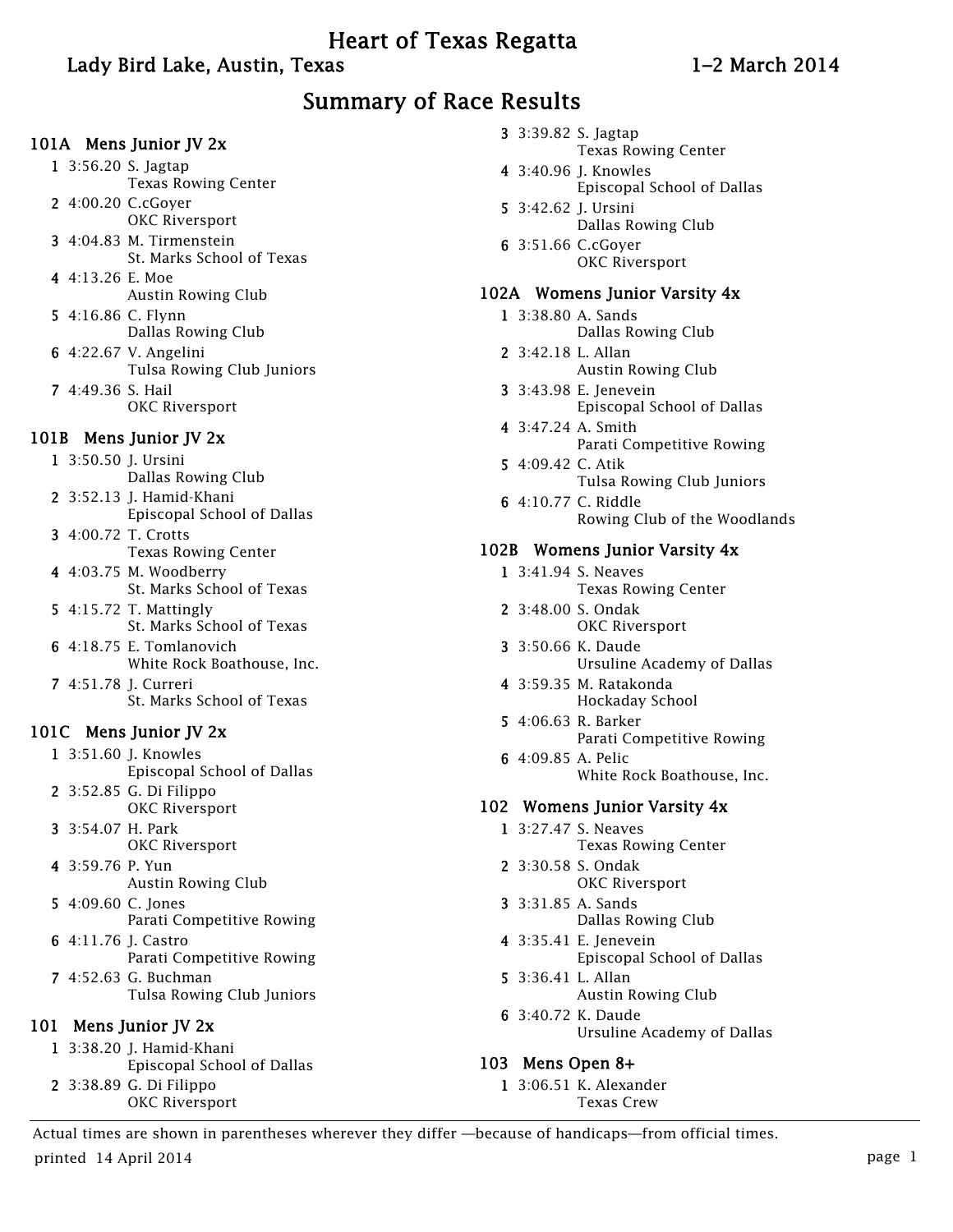# Heart of Texas Regatta

# Lady Bird Lake, Austin, Texas 1–2 March 2014

# Summary of Race Results

#### 101A Mens Junior JV 2x

- 1 3:56.20 S. Jagtap Texas Rowing Center
- 2 4:00.20 C.cGoyer OKC Riversport
- 3 4:04.83 M. Tirmenstein St. Marks School of Texas
- 4 4:13.26 E. Moe Austin Rowing Club
- 5 4:16.86 C. Flynn Dallas Rowing Club
- 6 4:22.67 V. Angelini Tulsa Rowing Club Juniors
- 7 4:49.36 S. Hail OKC Riversport

#### 101B Mens Junior JV 2x

- 1 3:50.50 J. Ursini Dallas Rowing Club
- 2 3:52.13 J. Hamid-Khani Episcopal School of Dallas
- 3 4:00.72 T. Crotts Texas Rowing Center
- 4 4:03.75 M. Woodberry St. Marks School of Texas
- 5 4:15.72 T. Mattingly St. Marks School of Texas
- 6 4:18.75 E. Tomlanovich White Rock Boathouse, Inc.
- 7 4:51.78 J. Curreri St. Marks School of Texas

## 101C Mens Junior JV 2x

- 1 3:51.60 J. Knowles Episcopal School of Dallas
- 2 3:52.85 G. Di Filippo OKC Riversport
- 3 3:54.07 H. Park OKC Riversport
- 4 3:59.76 P. Yun Austin Rowing Club
- 5 4:09.60 C. Jones Parati Competitive Rowing
- 6 4:11.76 J. Castro Parati Competitive Rowing
- 7 4:52.63 G. Buchman Tulsa Rowing Club Juniors

## 101 Mens Junior JV 2x

- 1 3:38.20 J. Hamid-Khani Episcopal School of Dallas
- 2 3:38.89 G. Di Filippo OKC Riversport
- 3 3:39.82 S. Jagtap Texas Rowing Center
- 4 3:40.96 J. Knowles Episcopal School of Dallas
- 5 3:42.62 J. Ursini Dallas Rowing Club
- 6 3:51.66 C.cGoyer OKC Riversport

#### 102A Womens Junior Varsity 4x

- 1 3:38.80 A. Sands Dallas Rowing Club
- 2 3:42.18 L. Allan Austin Rowing Club
- 3 3:43.98 E. Jenevein Episcopal School of Dallas
- 4 3:47.24 A. Smith Parati Competitive Rowing
- 5 4:09.42 C. Atik Tulsa Rowing Club Juniors
- 6 4:10.77 C. Riddle Rowing Club of the Woodlands

#### 102B Womens Junior Varsity 4x

- 1 3:41.94 S. Neaves
	- Texas Rowing Center
- 2 3:48.00 S. Ondak OKC Riversport
- 3 3:50.66 K. Daude Ursuline Academy of Dallas
- 4 3:59.35 M. Ratakonda Hockaday School
- 5 4:06.63 R. Barker Parati Competitive Rowing
- 6 4:09.85 A. Pelic White Rock Boathouse, Inc.

#### 102 Womens Junior Varsity 4x

- 1 3:27.47 S. Neaves Texas Rowing Center
- 2 3:30.58 S. Ondak OKC Riversport
- 3 3:31.85 A. Sands Dallas Rowing Club
- 4 3:35.41 E. Jenevein Episcopal School of Dallas
- 5 3:36.41 L. Allan Austin Rowing Club
- 6 3:40.72 K. Daude Ursuline Academy of Dallas

## 103 Mens Open 8+

1 3:06.51 K. Alexander Texas Crew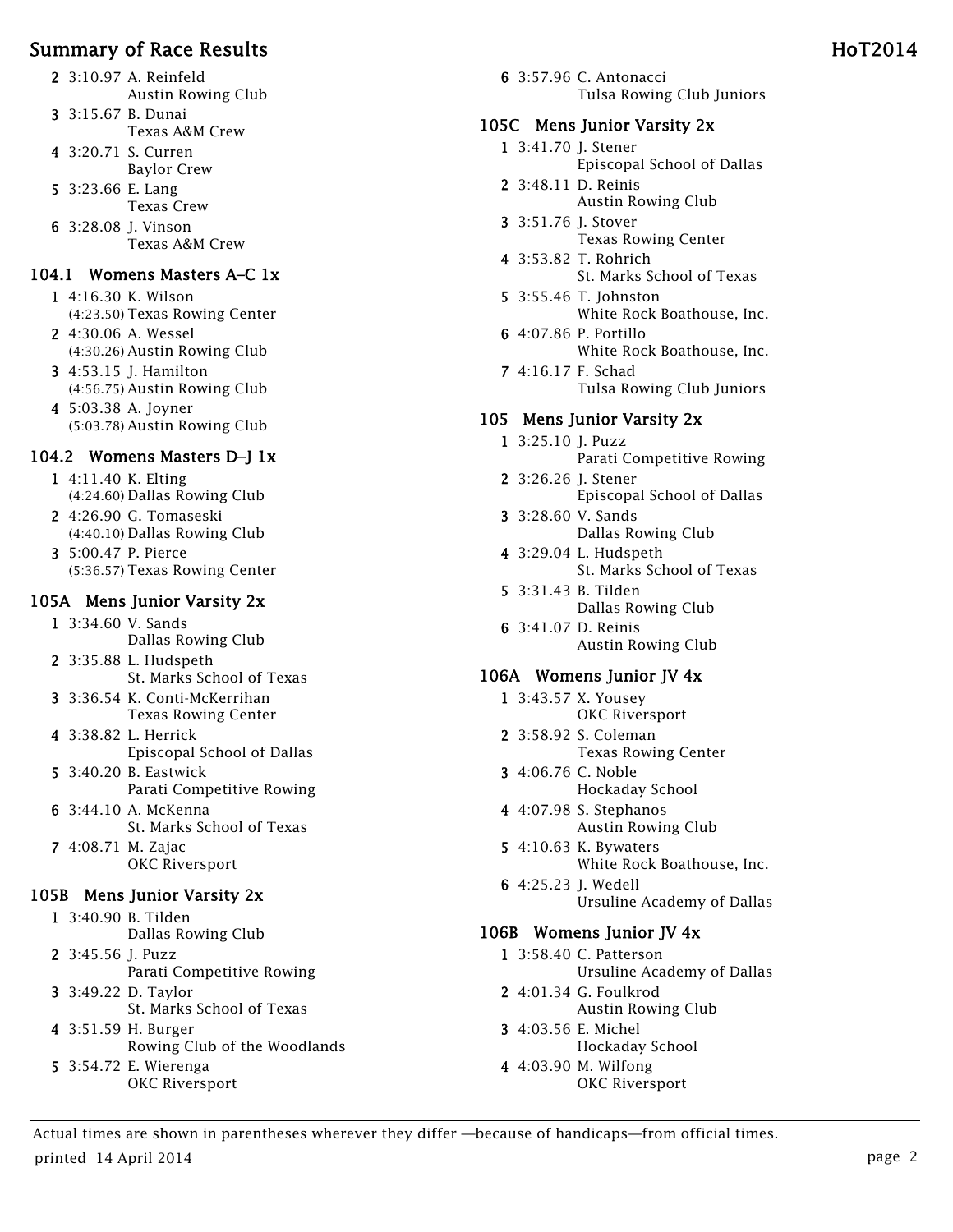- 2 3:10.97 A. Reinfeld
- Austin Rowing Club 3 3:15.67 B. Dunai
	- Texas A&M Crew
- 4 3:20.71 S. Curren Baylor Crew
- 5 3:23.66 E. Lang Texas Crew
- 6 3:28.08 J. Vinson Texas A&M Crew

# 104.1 Womens Masters A–C 1x

- 1 4:16.30 K. Wilson (4:23.50) Texas Rowing Center
- 2 4:30.06 A. Wessel (4:30.26) Austin Rowing Club
- 3 4:53.15 J. Hamilton (4:56.75) Austin Rowing Club
- 4 5:03.38 A. Joyner (5:03.78) Austin Rowing Club

# 104.2 Womens Masters D–J 1x

- 1 4:11.40 K. Elting (4:24.60) Dallas Rowing Club
- 2 4:26.90 G. Tomaseski (4:40.10) Dallas Rowing Club
- 3 5:00.47 P. Pierce (5:36.57) Texas Rowing Center

#### 105A Mens Junior Varsity 2x

- 1 3:34.60 V. Sands Dallas Rowing Club
- 2 3:35.88 L. Hudspeth St. Marks School of Texas
- 3 3:36.54 K. Conti-McKerrihan Texas Rowing Center
- 4 3:38.82 L. Herrick Episcopal School of Dallas
- 5 3:40.20 B. Eastwick Parati Competitive Rowing
- 6 3:44.10 A. McKenna St. Marks School of Texas 7 4:08.71 M. Zajac
	- OKC Riversport

# 105B Mens Junior Varsity 2x

- 1 3:40.90 B. Tilden Dallas Rowing Club 2 3:45.56 J. Puzz
	- Parati Competitive Rowing
- 3 3:49.22 D. Taylor St. Marks School of Texas
- 4 3:51.59 H. Burger Rowing Club of the Woodlands 5 3:54.72 E. Wierenga
- OKC Riversport

6 3:57.96 C. Antonacci Tulsa Rowing Club Juniors

# 105C Mens Junior Varsity 2x

- 1 3:41.70 J. Stener Episcopal School of Dallas
- 2 3:48.11 D. Reinis Austin Rowing Club
- 3 3:51.76 J. Stover Texas Rowing Center
- 4 3:53.82 T. Rohrich St. Marks School of Texas
- 5 3:55.46 T. Johnston White Rock Boathouse, Inc.
- 6 4:07.86 P. Portillo White Rock Boathouse, Inc.
- 7 4:16.17 F. Schad Tulsa Rowing Club Juniors

# 105 Mens Junior Varsity 2x

- 1 3:25.10 J. Puzz Parati Competitive Rowing
- 2 3:26.26 J. Stener Episcopal School of Dallas
- 3 3:28.60 V. Sands Dallas Rowing Club
- 4 3:29.04 L. Hudspeth St. Marks School of Texas
- 5 3:31.43 B. Tilden Dallas Rowing Club
- 6 3:41.07 D. Reinis Austin Rowing Club

# 106A Womens Junior JV 4x

- 1 3:43.57 X. Yousey OKC Riversport
- 2 3:58.92 S. Coleman Texas Rowing Center
- 3 4:06.76 C. Noble Hockaday School
- 4 4:07.98 S. Stephanos Austin Rowing Club
- 5 4:10.63 K. Bywaters White Rock Boathouse, Inc.
- 6 4:25.23 J. Wedell Ursuline Academy of Dallas

# 106B Womens Junior JV 4x

- 1 3:58.40 C. Patterson Ursuline Academy of Dallas
- 2 4:01.34 G. Foulkrod Austin Rowing Club
- 3 4:03.56 E. Michel Hockaday School
- 4 4:03.90 M. Wilfong OKC Riversport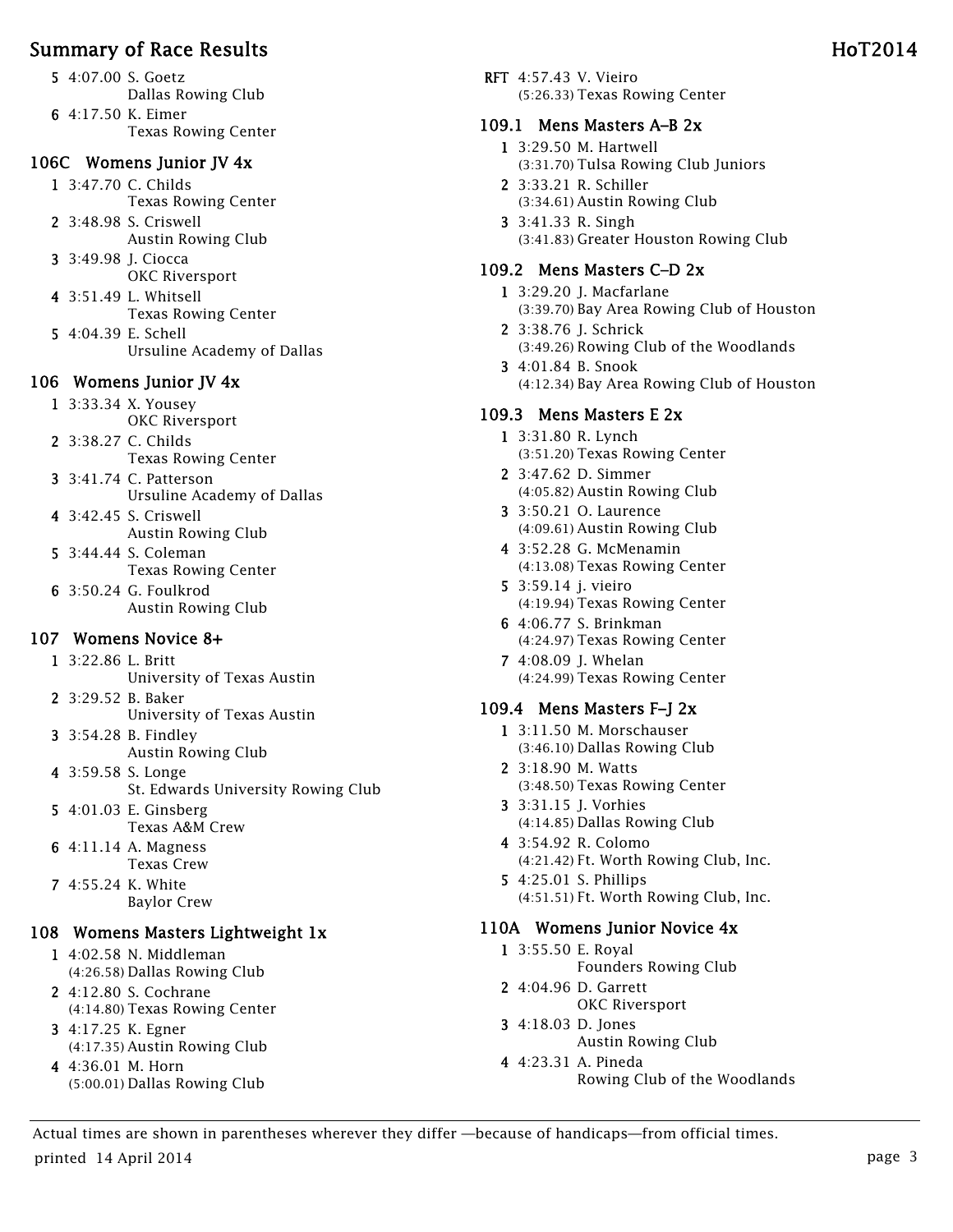- 5 4:07.00 S. Goetz Dallas Rowing Club 6 4:17.50 K. Eimer
	- Texas Rowing Center

#### 106C Womens Junior JV 4x

- 1 3:47.70 C. Childs Texas Rowing Center
- 2 3:48.98 S. Criswell Austin Rowing Club
- 3 3:49.98 J. Ciocca OKC Riversport
- 4 3:51.49 L. Whitsell Texas Rowing Center
- 5 4:04.39 E. Schell Ursuline Academy of Dallas

#### 106 Womens Junior JV 4x

- 1 3:33.34 X. Yousey OKC Riversport
- 2 3:38.27 C. Childs Texas Rowing Center
- 3 3:41.74 C. Patterson Ursuline Academy of Dallas
- 4 3:42.45 S. Criswell Austin Rowing Club
- 5 3:44.44 S. Coleman Texas Rowing Center
- 6 3:50.24 G. Foulkrod Austin Rowing Club

## 107 Womens Novice 8+

- 1 3:22.86 L. Britt University of Texas Austin
- 2 3:29.52 B. Baker University of Texas Austin
- 3 3:54.28 B. Findley Austin Rowing Club
- 4 3:59.58 S. Longe St. Edwards University Rowing Club
- 5 4:01.03 E. Ginsberg Texas A&M Crew
- 6 4:11.14 A. Magness Texas Crew
- 7 4:55.24 K. White Baylor Crew

## 108 Womens Masters Lightweight 1x

- 1 4:02.58 N. Middleman (4:26.58) Dallas Rowing Club
- 2 4:12.80 S. Cochrane (4:14.80) Texas Rowing Center
- 3 4:17.25 K. Egner (4:17.35) Austin Rowing Club
- 4 4:36.01 M. Horn (5:00.01) Dallas Rowing Club

RFT 4:57.43 V. Vieiro (5:26.33) Texas Rowing Center

#### 109.1 Mens Masters A–B 2x

- 1 3:29.50 M. Hartwell (3:31.70) Tulsa Rowing Club Juniors
- 2 3:33.21 R. Schiller (3:34.61) Austin Rowing Club
- 3 3:41.33 R. Singh (3:41.83) Greater Houston Rowing Club

#### 109.2 Mens Masters C–D 2x

- 1 3:29.20 J. Macfarlane (3:39.70) Bay Area Rowing Club of Houston
- 2 3:38.76 J. Schrick (3:49.26) Rowing Club of the Woodlands
- 3 4:01.84 B. Snook (4:12.34) Bay Area Rowing Club of Houston

#### 109.3 Mens Masters E 2x

- 1 3:31.80 R. Lynch (3:51.20) Texas Rowing Center
- 2 3:47.62 D. Simmer (4:05.82) Austin Rowing Club
- 3 3:50.21 O. Laurence (4:09.61) Austin Rowing Club
- 4 3:52.28 G. McMenamin (4:13.08) Texas Rowing Center
- 5 3:59.14 j. vieiro (4:19.94) Texas Rowing Center
- 6 4:06.77 S. Brinkman (4:24.97) Texas Rowing Center
- 7 4:08.09 J. Whelan (4:24.99) Texas Rowing Center

#### 109.4 Mens Masters F–J 2x

- 1 3:11.50 M. Morschauser (3:46.10) Dallas Rowing Club
- 2 3:18.90 M. Watts (3:48.50) Texas Rowing Center
- 3 3:31.15 J. Vorhies (4:14.85) Dallas Rowing Club
- 4 3:54.92 R. Colomo (4:21.42) Ft. Worth Rowing Club, Inc.
- 5 4:25.01 S. Phillips (4:51.51) Ft. Worth Rowing Club, Inc.

#### 110A Womens Junior Novice 4x

- 1 3:55.50 E. Royal Founders Rowing Club
- 2 4:04.96 D. Garrett OKC Riversport
- 3 4:18.03 D. Jones Austin Rowing Club
- 4 4:23.31 A. Pineda Rowing Club of the Woodlands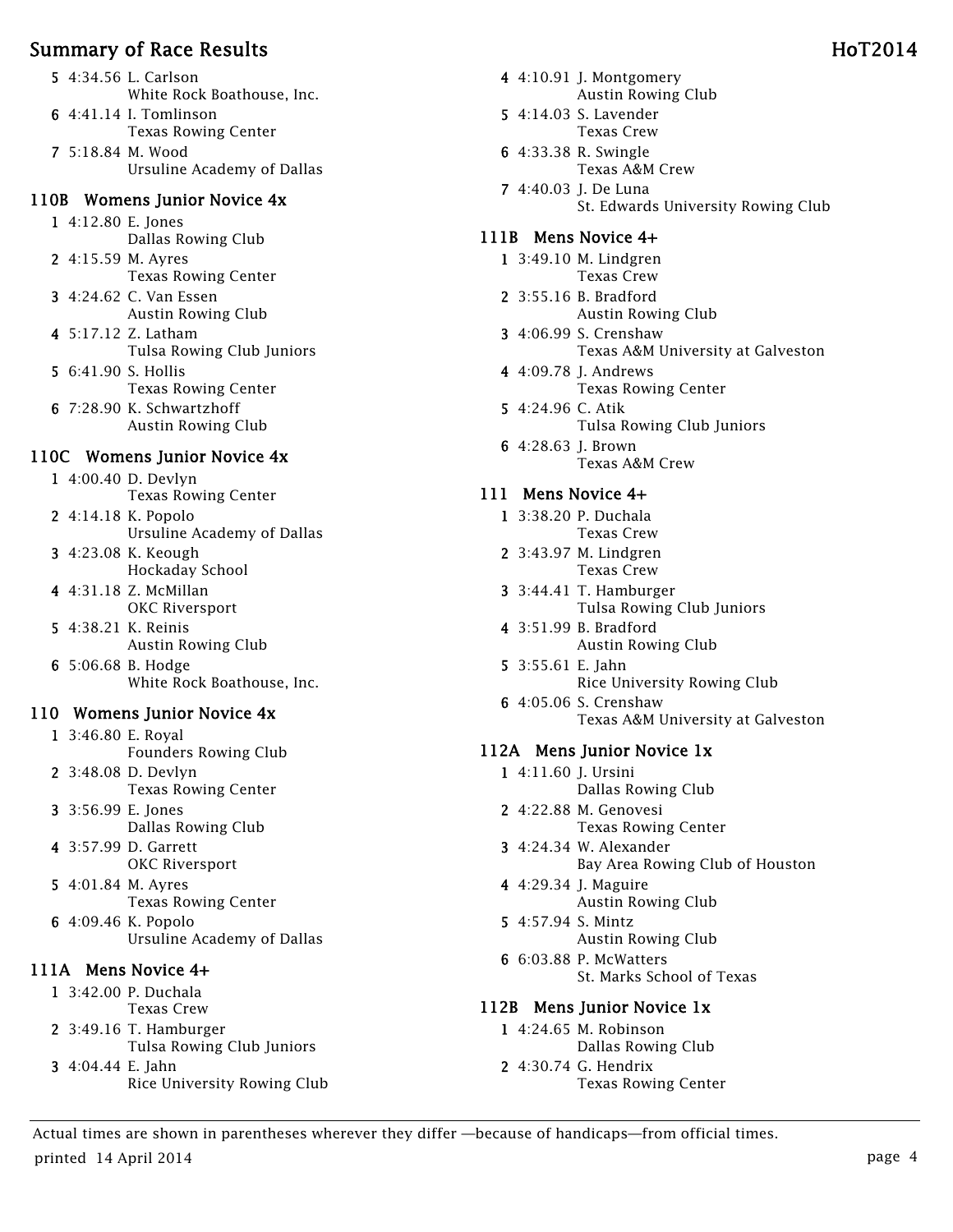- 5 4:34.56 L. Carlson White Rock Boathouse, Inc.
- 6 4:41.14 I. Tomlinson
	- Texas Rowing Center
- 7 5:18.84 M. Wood Ursuline Academy of Dallas

#### 110B Womens Junior Novice 4x

- 1 4:12.80 E. Jones Dallas Rowing Club
- 2 4:15.59 M. Ayres Texas Rowing Center
- 3 4:24.62 C. Van Essen Austin Rowing Club
- 4 5:17.12 Z. Latham Tulsa Rowing Club Juniors
- 5 6:41.90 S. Hollis Texas Rowing Center
- 6 7:28.90 K. Schwartzhoff Austin Rowing Club

#### 110C Womens Junior Novice 4x

- 1 4:00.40 D. Devlyn Texas Rowing Center
- 2 4:14.18 K. Popolo Ursuline Academy of Dallas
- 3 4:23.08 K. Keough Hockaday School
- 4 4:31.18 Z. McMillan OKC Riversport
- 5 4:38.21 K. Reinis Austin Rowing Club
- 6 5:06.68 B. Hodge White Rock Boathouse, Inc.

## 110 Womens Junior Novice 4x

- 1 3:46.80 E. Royal Founders Rowing Club
- 2 3:48.08 D. Devlyn Texas Rowing Center
- 3 3:56.99 E. Jones Dallas Rowing Club
- 4 3:57.99 D. Garrett OKC Riversport
- 5 4:01.84 M. Ayres Texas Rowing Center
- 6 4:09.46 K. Popolo Ursuline Academy of Dallas

#### 111A Mens Novice 4+

- 1 3:42.00 P. Duchala Texas Crew
- 2 3:49.16 T. Hamburger Tulsa Rowing Club Juniors
- 3 4:04.44 E. Jahn Rice University Rowing Club
- 4 4:10.91 J. Montgomery Austin Rowing Club
- 5 4:14.03 S. Lavender Texas Crew
- 6 4:33.38 R. Swingle Texas A&M Crew
- 7 4:40.03 J. De Luna St. Edwards University Rowing Club

#### 111B Mens Novice 4+

- 1 3:49.10 M. Lindgren Texas Crew
- 2 3:55.16 B. Bradford Austin Rowing Club
- 3 4:06.99 S. Crenshaw Texas A&M University at Galveston
- 4 4:09.78 J. Andrews Texas Rowing Center
- 5 4:24.96 C. Atik Tulsa Rowing Club Juniors
- 6 4:28.63 J. Brown Texas A&M Crew

#### 111 Mens Novice 4+

- 1 3:38.20 P. Duchala Texas Crew
- 2 3:43.97 M. Lindgren Texas Crew
- 3 3:44.41 T. Hamburger Tulsa Rowing Club Juniors
- 4 3:51.99 B. Bradford Austin Rowing Club
- 5 3:55.61 E. Jahn Rice University Rowing Club
- 6 4:05.06 S. Crenshaw Texas A&M University at Galveston

#### 112A Mens Junior Novice 1x

- 1 4:11.60 J. Ursini
	- Dallas Rowing Club
- 2 4:22.88 M. Genovesi Texas Rowing Center
- 3 4:24.34 W. Alexander Bay Area Rowing Club of Houston
- 4 4:29.34 J. Maguire Austin Rowing Club
- 5 4:57.94 S. Mintz Austin Rowing Club
- 6 6:03.88 P. McWatters St. Marks School of Texas

#### 112B Mens Junior Novice 1x

- 1 4:24.65 M. Robinson Dallas Rowing Club
- 2 4:30.74 G. Hendrix Texas Rowing Center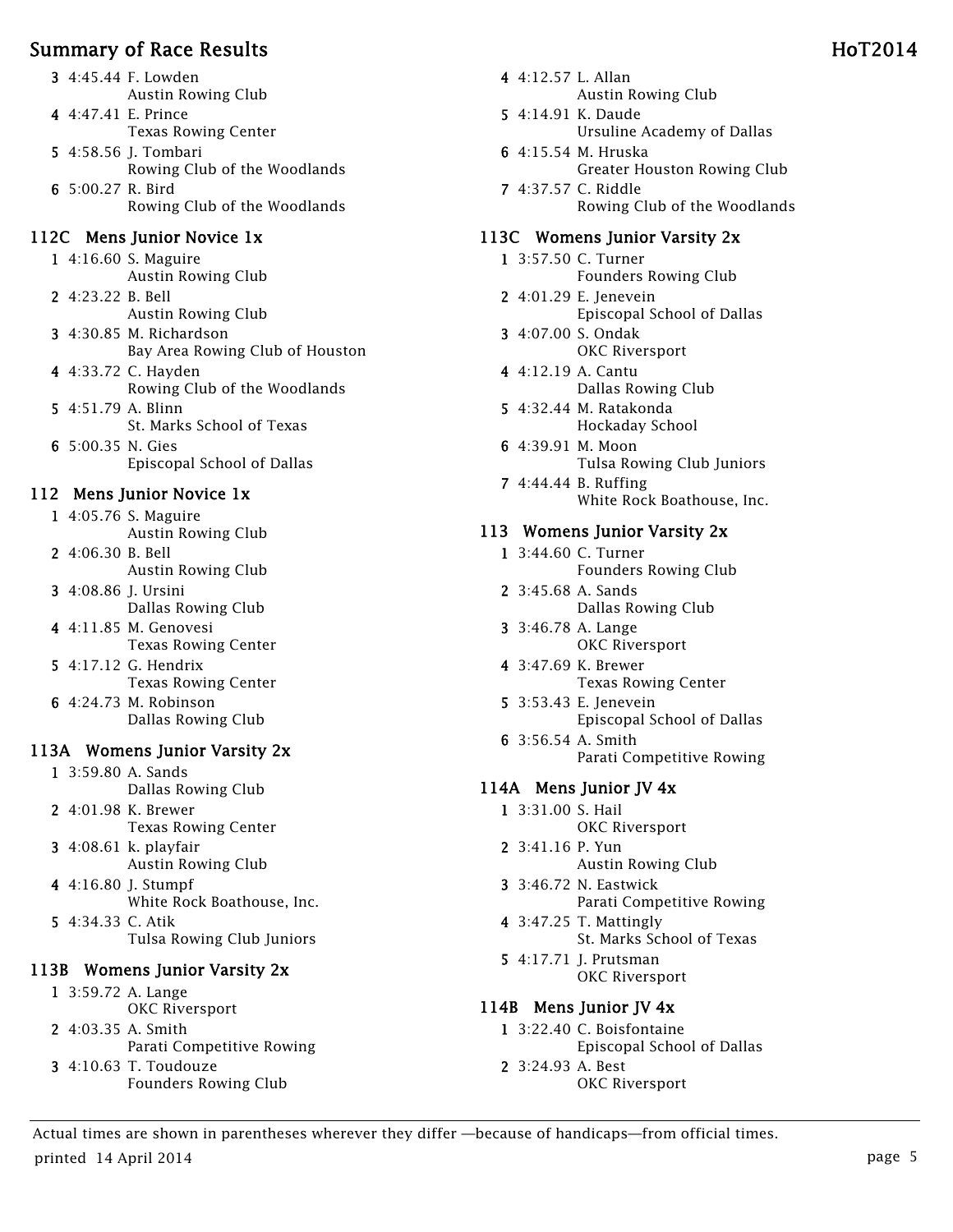- 3 4:45.44 F. Lowden Austin Rowing Club
- 4 4:47.41 E. Prince Texas Rowing Center
- 5 4:58.56 J. Tombari Rowing Club of the Woodlands
- 6 5:00.27 R. Bird Rowing Club of the Woodlands

## 112C Mens Junior Novice 1x

- 1 4:16.60 S. Maguire Austin Rowing Club
- 2 4:23.22 B. Bell Austin Rowing Club
- 3 4:30.85 M. Richardson Bay Area Rowing Club of Houston
- 4 4:33.72 C. Hayden Rowing Club of the Woodlands
- 5 4:51.79 A. Blinn St. Marks School of Texas 6 5:00.35 N. Gies
	- Episcopal School of Dallas

## 112 Mens Junior Novice 1x

- 1 4:05.76 S. Maguire Austin Rowing Club
- 2 4:06.30 B. Bell Austin Rowing Club
- 3 4:08.86 J. Ursini Dallas Rowing Club
- 4 4:11.85 M. Genovesi Texas Rowing Center
- 5 4:17.12 G. Hendrix Texas Rowing Center
- 6 4:24.73 M. Robinson Dallas Rowing Club

# 113A Womens Junior Varsity 2x

- 1 3:59.80 A. Sands Dallas Rowing Club
- 2 4:01.98 K. Brewer Texas Rowing Center
- 3 4:08.61 k. playfair Austin Rowing Club 4 4:16.80 J. Stumpf
	- White Rock Boathouse, Inc.
- 5 4:34.33 C. Atik Tulsa Rowing Club Juniors

# 113B Womens Junior Varsity 2x

- 1 3:59.72 A. Lange OKC Riversport 2 4:03.35 A. Smith
- Parati Competitive Rowing
- 3 4:10.63 T. Toudouze Founders Rowing Club
- 4 4:12.57 L. Allan Austin Rowing Club
- 5 4:14.91 K. Daude Ursuline Academy of Dallas
- 6 4:15.54 M. Hruska Greater Houston Rowing Club
- 7 4:37.57 C. Riddle Rowing Club of the Woodlands

#### 113C Womens Junior Varsity 2x

- 1 3:57.50 C. Turner Founders Rowing Club
- 2 4:01.29 E. Jenevein Episcopal School of Dallas
- 3 4:07.00 S. Ondak OKC Riversport
- 4 4:12.19 A. Cantu Dallas Rowing Club
- 5 4:32.44 M. Ratakonda Hockaday School
- 6 4:39.91 M. Moon Tulsa Rowing Club Juniors
- 7 4:44.44 B. Ruffing White Rock Boathouse, Inc.

## 113 Womens Junior Varsity 2x

- 1 3:44.60 C. Turner Founders Rowing Club
- 2 3:45.68 A. Sands Dallas Rowing Club
- 3 3:46.78 A. Lange OKC Riversport
- 4 3:47.69 K. Brewer Texas Rowing Center
- 5 3:53.43 E. Jenevein Episcopal School of Dallas
- 6 3:56.54 A. Smith Parati Competitive Rowing

## 114A Mens Junior JV 4x

- 1 3:31.00 S. Hail OKC Riversport
- 2 3:41.16 P. Yun Austin Rowing Club
- 3 3:46.72 N. Eastwick Parati Competitive Rowing
- 4 3:47.25 T. Mattingly St. Marks School of Texas
- 5 4:17.71 J. Prutsman OKC Riversport

## 114B Mens Junior JV 4x

- 1 3:22.40 C. Boisfontaine Episcopal School of Dallas
- 2 3:24.93 A. Best OKC Riversport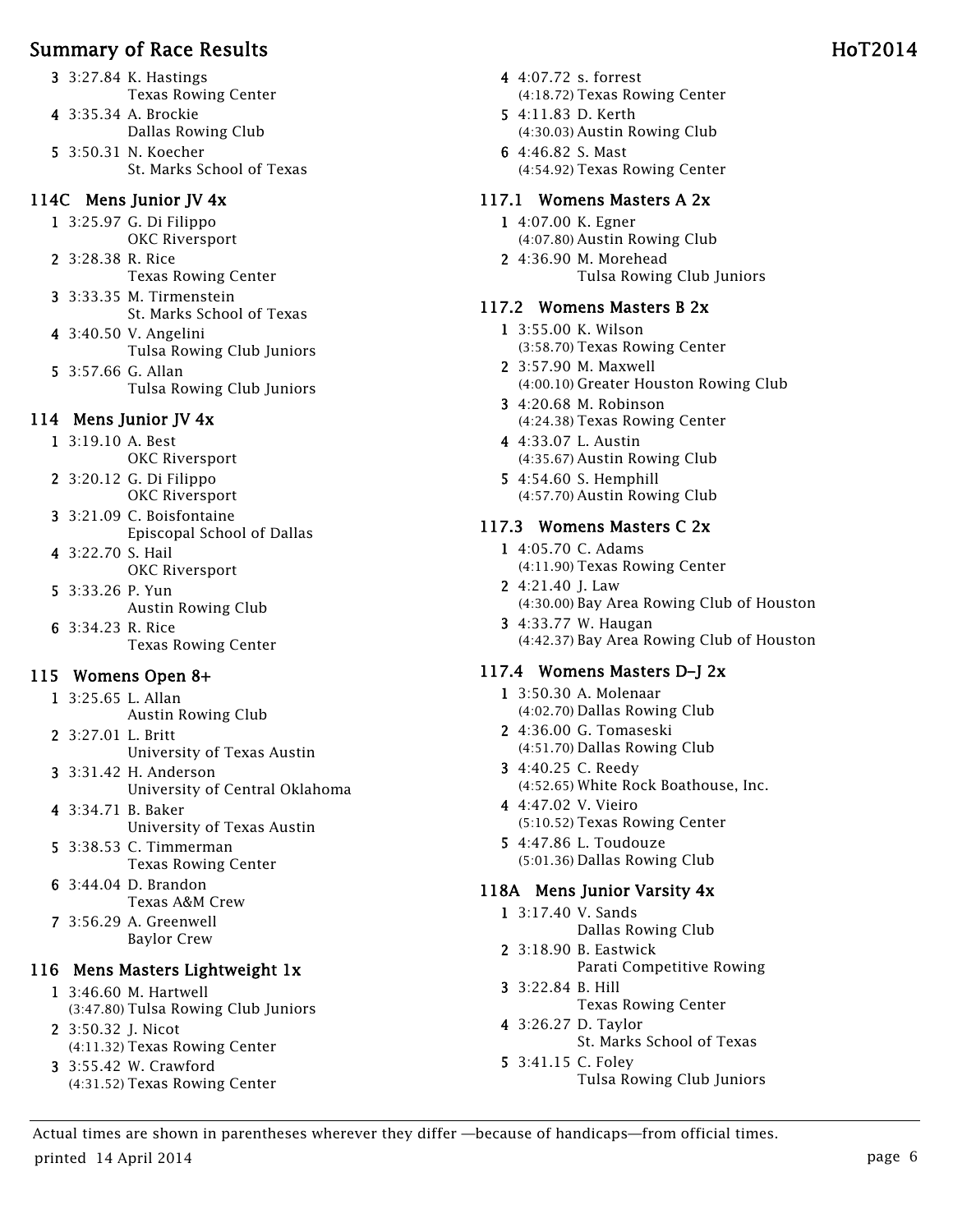- 3 3:27.84 K. Hastings
	- Texas Rowing Center
- 4 3:35.34 A. Brockie Dallas Rowing Club
- 5 3:50.31 N. Koecher St. Marks School of Texas

# 114C Mens Junior JV 4x

- 1 3:25.97 G. Di Filippo OKC Riversport
- 2 3:28.38 R. Rice Texas Rowing Center
- 3 3:33.35 M. Tirmenstein St. Marks School of Texas
- 4 3:40.50 V. Angelini Tulsa Rowing Club Juniors
- 5 3:57.66 G. Allan Tulsa Rowing Club Juniors

# 114 Mens Junior JV 4x

- 1 3:19.10 A. Best
- OKC Riversport 2 3:20.12 G. Di Filippo
- OKC Riversport
- 3 3:21.09 C. Boisfontaine Episcopal School of Dallas
- 4 3:22.70 S. Hail OKC Riversport
- 5 3:33.26 P. Yun Austin Rowing Club
- 6 3:34.23 R. Rice Texas Rowing Center

# 115 Womens Open 8+

- 1 3:25.65 L. Allan Austin Rowing Club
- 2 3:27.01 L. Britt University of Texas Austin
- 3 3:31.42 H. Anderson University of Central Oklahoma
- 4 3:34.71 B. Baker University of Texas Austin
- 5 3:38.53 C. Timmerman Texas Rowing Center
- 6 3:44.04 D. Brandon Texas A&M Crew
- 7 3:56.29 A. Greenwell Baylor Crew

# 116 Mens Masters Lightweight 1x

- 1 3:46.60 M. Hartwell (3:47.80) Tulsa Rowing Club Juniors
- 2 3:50.32 J. Nicot (4:11.32) Texas Rowing Center
- 3 3:55.42 W. Crawford (4:31.52) Texas Rowing Center
- 4 4:07.72 s. forrest (4:18.72) Texas Rowing Center
- 5 4:11.83 D. Kerth (4:30.03) Austin Rowing Club
- 6 4:46.82 S. Mast (4:54.92) Texas Rowing Center

# 117.1 Womens Masters A 2x

- 1 4:07.00 K. Egner (4:07.80) Austin Rowing Club
- 2 4:36.90 M. Morehead Tulsa Rowing Club Juniors

# 117.2 Womens Masters B 2x

- 1 3:55.00 K. Wilson (3:58.70) Texas Rowing Center
- 2 3:57.90 M. Maxwell (4:00.10) Greater Houston Rowing Club
- 3 4:20.68 M. Robinson (4:24.38) Texas Rowing Center
- 4 4:33.07 L. Austin (4:35.67) Austin Rowing Club
- 5 4:54.60 S. Hemphill (4:57.70) Austin Rowing Club

# 117.3 Womens Masters C 2x

- 1 4:05.70 C. Adams (4:11.90) Texas Rowing Center
- 2 4:21.40 J. Law (4:30.00) Bay Area Rowing Club of Houston
- 3 4:33.77 W. Haugan (4:42.37) Bay Area Rowing Club of Houston

# 117.4 Womens Masters D–J 2x

- 1 3:50.30 A. Molenaar (4:02.70) Dallas Rowing Club
- 2 4:36.00 G. Tomaseski (4:51.70) Dallas Rowing Club
- 3 4:40.25 C. Reedy (4:52.65) White Rock Boathouse, Inc.
- 4 4:47.02 V. Vieiro (5:10.52) Texas Rowing Center
- 5 4:47.86 L. Toudouze (5:01.36) Dallas Rowing Club

# 118A Mens Junior Varsity 4x

- 1 3:17.40 V. Sands
- Dallas Rowing Club 2 3:18.90 B. Eastwick Parati Competitive Rowing
- 3 3:22.84 B. Hill
	- Texas Rowing Center
- 4 3:26.27 D. Taylor St. Marks School of Texas
- 5 3:41.15 C. Foley Tulsa Rowing Club Juniors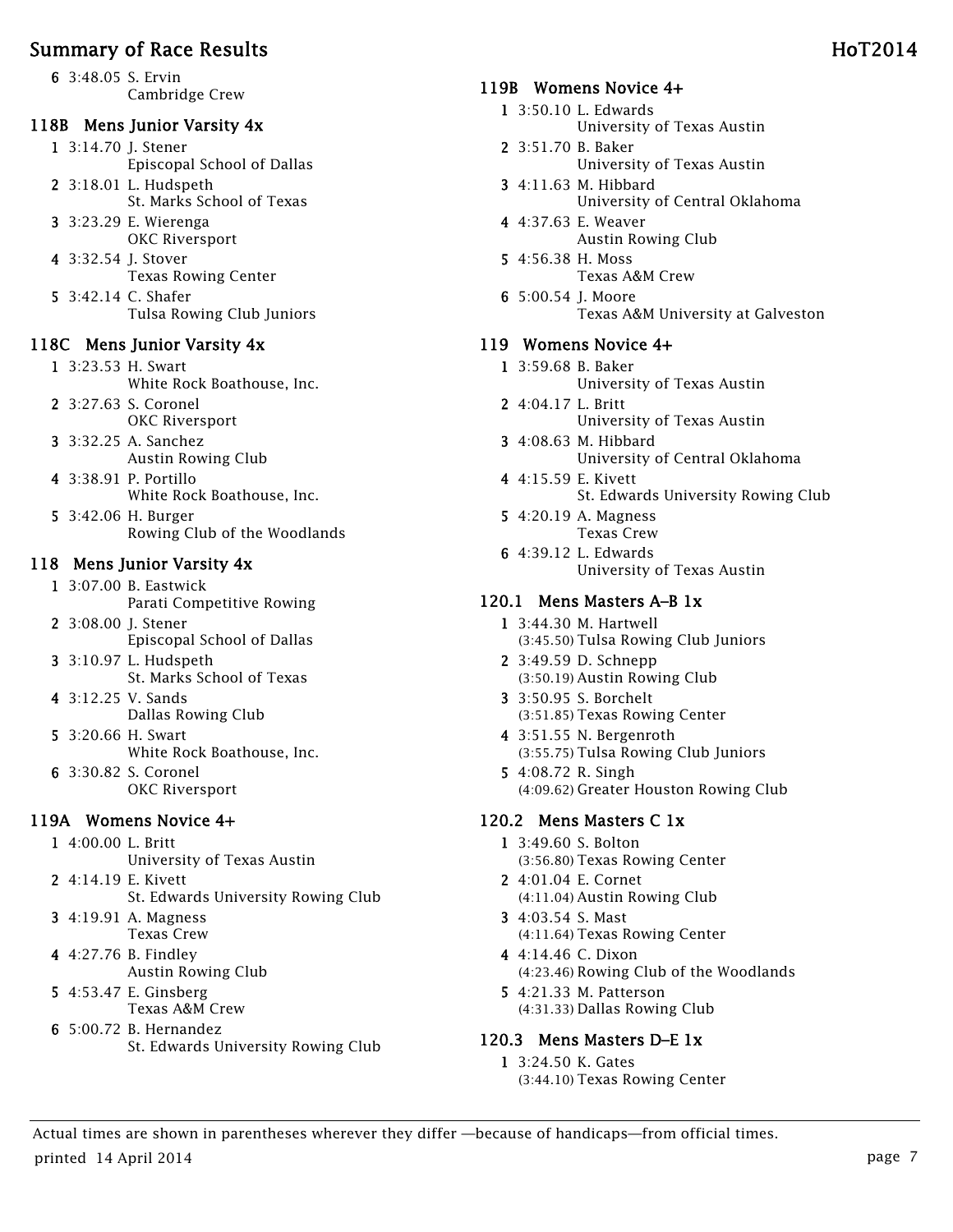6 3:48.05 S. Ervin Cambridge Crew

#### 118B Mens Junior Varsity 4x

1 3:14.70 J. Stener Episcopal School of Dallas

- 2 3:18.01 L. Hudspeth St. Marks School of Texas
- 3 3:23.29 E. Wierenga OKC Riversport
- 4 3:32.54 J. Stover Texas Rowing Center
- 5 3:42.14 C. Shafer Tulsa Rowing Club Juniors

#### 118C Mens Junior Varsity 4x

- 1 3:23.53 H. Swart White Rock Boathouse, Inc.
- 2 3:27.63 S. Coronel OKC Riversport
- 3 3:32.25 A. Sanchez
- Austin Rowing Club
- 4 3:38.91 P. Portillo White Rock Boathouse, Inc.
- 5 3:42.06 H. Burger Rowing Club of the Woodlands

# 118 Mens Junior Varsity 4x

- 1 3:07.00 B. Eastwick Parati Competitive Rowing
- 2 3:08.00 J. Stener Episcopal School of Dallas
- 3 3:10.97 L. Hudspeth St. Marks School of Texas
- 4 3:12.25 V. Sands Dallas Rowing Club
- 5 3:20.66 H. Swart White Rock Boathouse, Inc. 6 3:30.82 S. Coronel
	- OKC Riversport

# 119A Womens Novice 4+

- 1 4:00.00 L. Britt
	- University of Texas Austin
- 2 4:14.19 E. Kivett St. Edwards University Rowing Club
- 3 4:19.91 A. Magness Texas Crew
- 4 4:27.76 B. Findley Austin Rowing Club
- 5 4:53.47 E. Ginsberg Texas A&M Crew
- 6 5:00.72 B. Hernandez St. Edwards University Rowing Club

#### 119B Womens Novice 4+

- 1 3:50.10 L. Edwards
	- University of Texas Austin
- 2 3:51.70 B. Baker University of Texas Austin
- 3 4:11.63 M. Hibbard University of Central Oklahoma
- 4 4:37.63 E. Weaver Austin Rowing Club
- 5 4:56.38 H. Moss Texas A&M Crew
- 6 5:00.54 J. Moore Texas A&M University at Galveston

#### 119 Womens Novice 4+

- 1 3:59.68 B. Baker
	- University of Texas Austin
- 2 4:04.17 L. Britt
	- University of Texas Austin
- 3 4:08.63 M. Hibbard University of Central Oklahoma
- 4 4:15.59 E. Kivett St. Edwards University Rowing Club
- 5 4:20.19 A. Magness Texas Crew
- 6 4:39.12 L. Edwards University of Texas Austin

## 120.1 Mens Masters A–B 1x

- 1 3:44.30 M. Hartwell (3:45.50) Tulsa Rowing Club Juniors
- 2 3:49.59 D. Schnepp (3:50.19) Austin Rowing Club
- 3 3:50.95 S. Borchelt (3:51.85) Texas Rowing Center
- 4 3:51.55 N. Bergenroth (3:55.75) Tulsa Rowing Club Juniors
- 5 4:08.72 R. Singh (4:09.62) Greater Houston Rowing Club

#### 120.2 Mens Masters C 1x

- 1 3:49.60 S. Bolton (3:56.80) Texas Rowing Center
- 2 4:01.04 E. Cornet (4:11.04) Austin Rowing Club
- 3 4:03.54 S. Mast (4:11.64) Texas Rowing Center
- 4 4:14.46 C. Dixon (4:23.46) Rowing Club of the Woodlands
- 5 4:21.33 M. Patterson (4:31.33) Dallas Rowing Club

#### 120.3 Mens Masters D–E 1x

1 3:24.50 K. Gates (3:44.10) Texas Rowing Center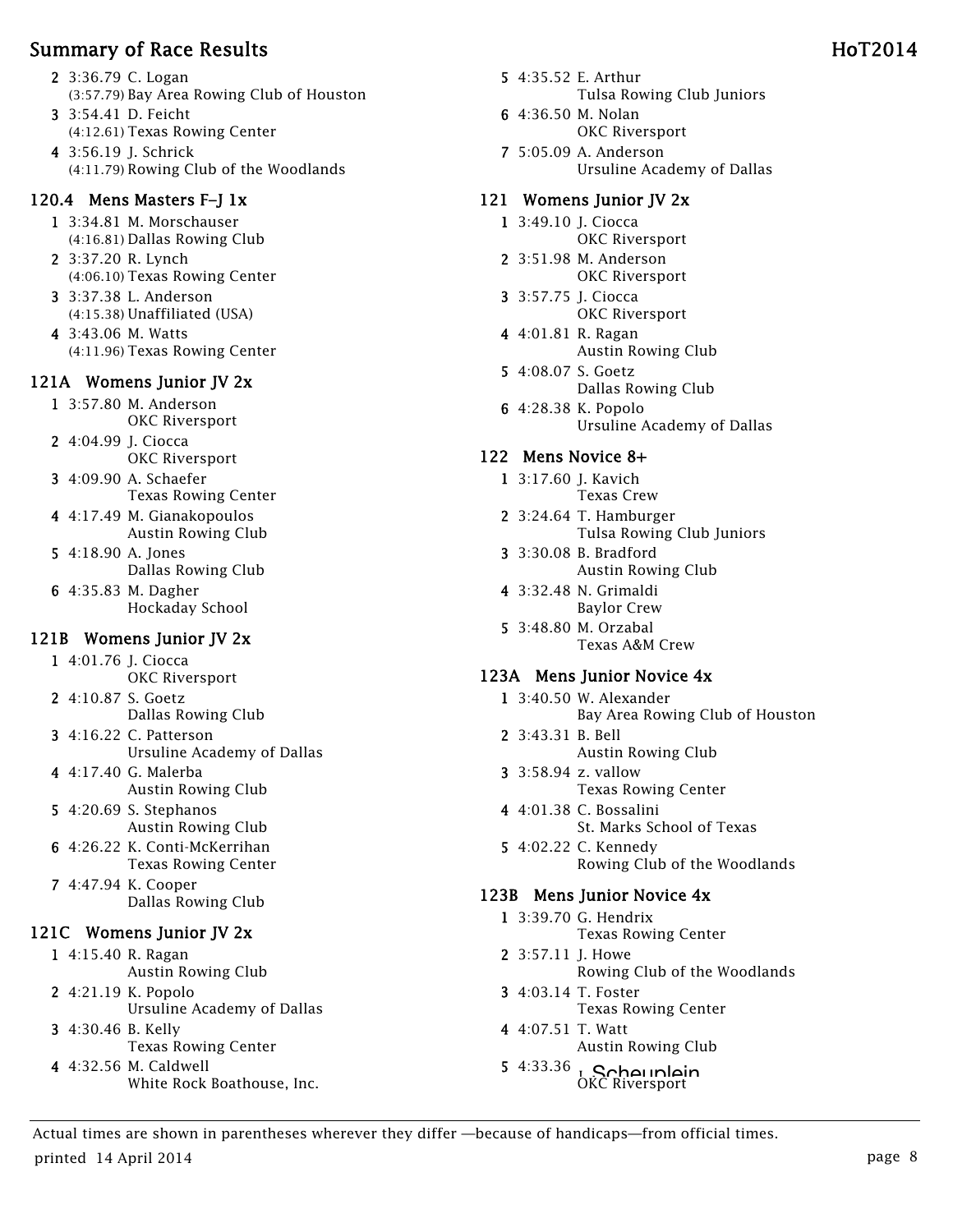- 2 3:36.79 C. Logan (3:57.79) Bay Area Rowing Club of Houston
- 3 3:54.41 D. Feicht (4:12.61) Texas Rowing Center
- 4 3:56.19 J. Schrick (4:11.79) Rowing Club of the Woodlands

# 120.4 Mens Masters F–J 1x

- 1 3:34.81 M. Morschauser (4:16.81) Dallas Rowing Club
- 2 3:37.20 R. Lynch (4:06.10) Texas Rowing Center
- 3 3:37.38 L. Anderson (4:15.38) Unaffiliated (USA)
- 4 3:43.06 M. Watts (4:11.96) Texas Rowing Center

# 121A Womens Junior JV 2x

- 1 3:57.80 M. Anderson OKC Riversport
- 2 4:04.99 J. Ciocca OKC Riversport
- 3 4:09.90 A. Schaefer Texas Rowing Center
- 4 4:17.49 M. Gianakopoulos Austin Rowing Club
- 5 4:18.90 A. Jones Dallas Rowing Club
- 6 4:35.83 M. Dagher Hockaday School

# 121B Womens Junior JV 2x

- 1 4:01.76 J. Ciocca OKC Riversport
- 2 4:10.87 S. Goetz Dallas Rowing Club
- 3 4:16.22 C. Patterson Ursuline Academy of Dallas
- 4 4:17.40 G. Malerba Austin Rowing Club
- 5 4:20.69 S. Stephanos Austin Rowing Club
- 6 4:26.22 K. Conti-McKerrihan Texas Rowing Center
- 7 4:47.94 K. Cooper Dallas Rowing Club

# 121C Womens Junior JV 2x

- 1 4:15.40 R. Ragan Austin Rowing Club
- 2 4:21.19 K. Popolo Ursuline Academy of Dallas 3 4:30.46 B. Kelly
- Texas Rowing Center
- 4 4:32.56 M. Caldwell White Rock Boathouse, Inc.
- 5 4:35.52 E. Arthur Tulsa Rowing Club Juniors
- 6 4:36.50 M. Nolan OKC Riversport
- 7 5:05.09 A. Anderson Ursuline Academy of Dallas

# 121 Womens Junior JV 2x

- 1 3:49.10 J. Ciocca OKC Riversport
- 2 3:51.98 M. Anderson OKC Riversport
- 3 3:57.75 J. Ciocca OKC Riversport
- 4 4:01.81 R. Ragan Austin Rowing Club
- 5 4:08.07 S. Goetz Dallas Rowing Club
- 6 4:28.38 K. Popolo Ursuline Academy of Dallas

# 122 Mens Novice 8+

- 1 3:17.60 J. Kavich Texas Crew
- 2 3:24.64 T. Hamburger Tulsa Rowing Club Juniors
- 3 3:30.08 B. Bradford Austin Rowing Club
- 4 3:32.48 N. Grimaldi Baylor Crew
- 5 3:48.80 M. Orzabal Texas A&M Crew

# 123A Mens Junior Novice 4x

- 1 3:40.50 W. Alexander Bay Area Rowing Club of Houston 2 3:43.31 B. Bell
	- Austin Rowing Club
- 3 3:58.94 z. vallow Texas Rowing Center
- 4 4:01.38 C. Bossalini St. Marks School of Texas
- 5 4:02.22 C. Kennedy Rowing Club of the Woodlands

# 123B Mens Junior Novice 4x

- 1 3:39.70 G. Hendrix Texas Rowing Center
- 2 3:57.11 J. Howe Rowing Club of the Woodlands
- 3 4:03.14 T. Foster Texas Rowing Center
- 4 4:07.51 T. Watt Austin Rowing Club
- 5  $4:33.36$  J. Scheuplein OKC Riversport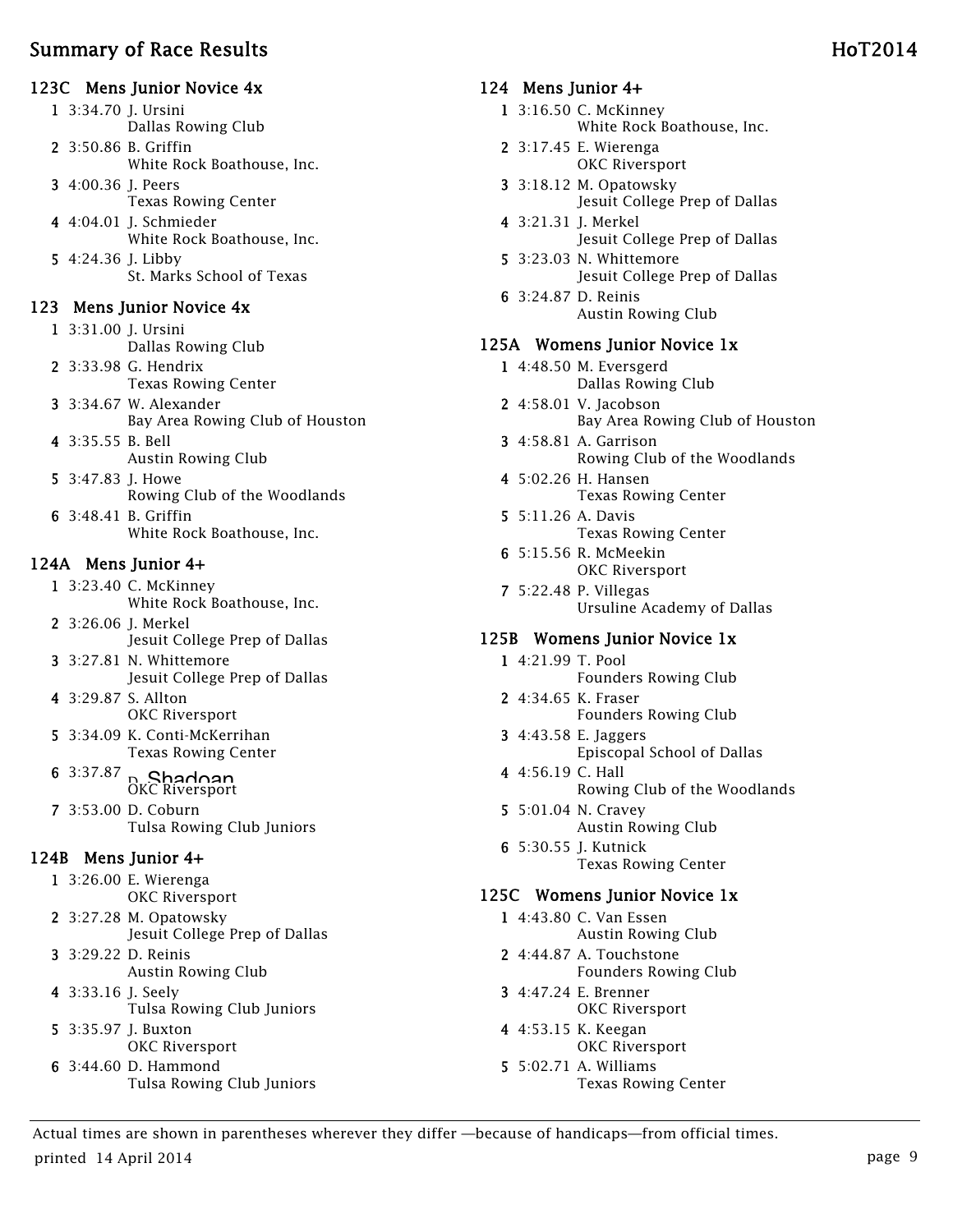#### 123C Mens Junior Novice 4x

- 1 3:34.70 J. Ursini Dallas Rowing Club 2 3:50.86 B. Griffin White Rock Boathouse, Inc.
- 3 4:00.36 J. Peers Texas Rowing Center
- 4 4:04.01 J. Schmieder White Rock Boathouse, Inc.
- 5 4:24.36 J. Libby St. Marks School of Texas

#### 123 Mens Junior Novice 4x

- 1 3:31.00 J. Ursini Dallas Rowing Club
- 2 3:33.98 G. Hendrix Texas Rowing Center
- 3 3:34.67 W. Alexander Bay Area Rowing Club of Houston
- 4 3:35.55 B. Bell Austin Rowing Club
- 5 3:47.83 J. Howe Rowing Club of the Woodlands
- 6 3:48.41 B. Griffin White Rock Boathouse, Inc.

#### 124A Mens Junior 4+

- 1 3:23.40 C. McKinney White Rock Boathouse, Inc.
- 2 3:26.06 J. Merkel Jesuit College Prep of Dallas
- 3 3:27.81 N. Whittemore Jesuit College Prep of Dallas
- 4 3:29.87 S. Allton OKC Riversport
- 5 3:34.09 K. Conti-McKerrihan Texas Rowing Center
- $6 \frac{3:37.87}{0}$  Shadoan OKC Riversport
- 7 3:53.00 D. Coburn Tulsa Rowing Club Juniors

#### 124B Mens Junior 4+

- 1 3:26.00 E. Wierenga OKC Riversport
- 2 3:27.28 M. Opatowsky Jesuit College Prep of Dallas
- 3 3:29.22 D. Reinis Austin Rowing Club
- 4 3:33.16 J. Seely Tulsa Rowing Club Juniors
- 5 3:35.97 J. Buxton OKC Riversport
- 6 3:44.60 D. Hammond Tulsa Rowing Club Juniors

#### 124 Mens Junior 4+

- 1 3:16.50 C. McKinney White Rock Boathouse, Inc.
- 2 3:17.45 E. Wierenga OKC Riversport
- 3 3:18.12 M. Opatowsky Jesuit College Prep of Dallas
- 4 3:21.31 J. Merkel Jesuit College Prep of Dallas
- 5 3:23.03 N. Whittemore Jesuit College Prep of Dallas
- 6 3:24.87 D. Reinis Austin Rowing Club

#### 125A Womens Junior Novice 1x

- 1 4:48.50 M. Eversgerd Dallas Rowing Club
- 2 4:58.01 V. Jacobson Bay Area Rowing Club of Houston
- 3 4:58.81 A. Garrison Rowing Club of the Woodlands
- 4 5:02.26 H. Hansen Texas Rowing Center
- 5 5:11.26 A. Davis Texas Rowing Center
- 6 5:15.56 R. McMeekin OKC Riversport
- 7 5:22.48 P. Villegas Ursuline Academy of Dallas

#### 125B Womens Junior Novice 1x

- 1 4:21.99 T. Pool Founders Rowing Club
- 2 4:34.65 K. Fraser Founders Rowing Club
- 3 4:43.58 E. Jaggers Episcopal School of Dallas
- 4 4:56.19 C. Hall Rowing Club of the Woodlands
- 5 5:01.04 N. Cravey Austin Rowing Club
- 6 5:30.55 J. Kutnick Texas Rowing Center

#### 125C Womens Junior Novice 1x

- 1 4:43.80 C. Van Essen Austin Rowing Club
- 2 4:44.87 A. Touchstone Founders Rowing Club
- 3 4:47.24 E. Brenner OKC Riversport
- 4 4:53.15 K. Keegan OKC Riversport
- 5 5:02.71 A. Williams Texas Rowing Center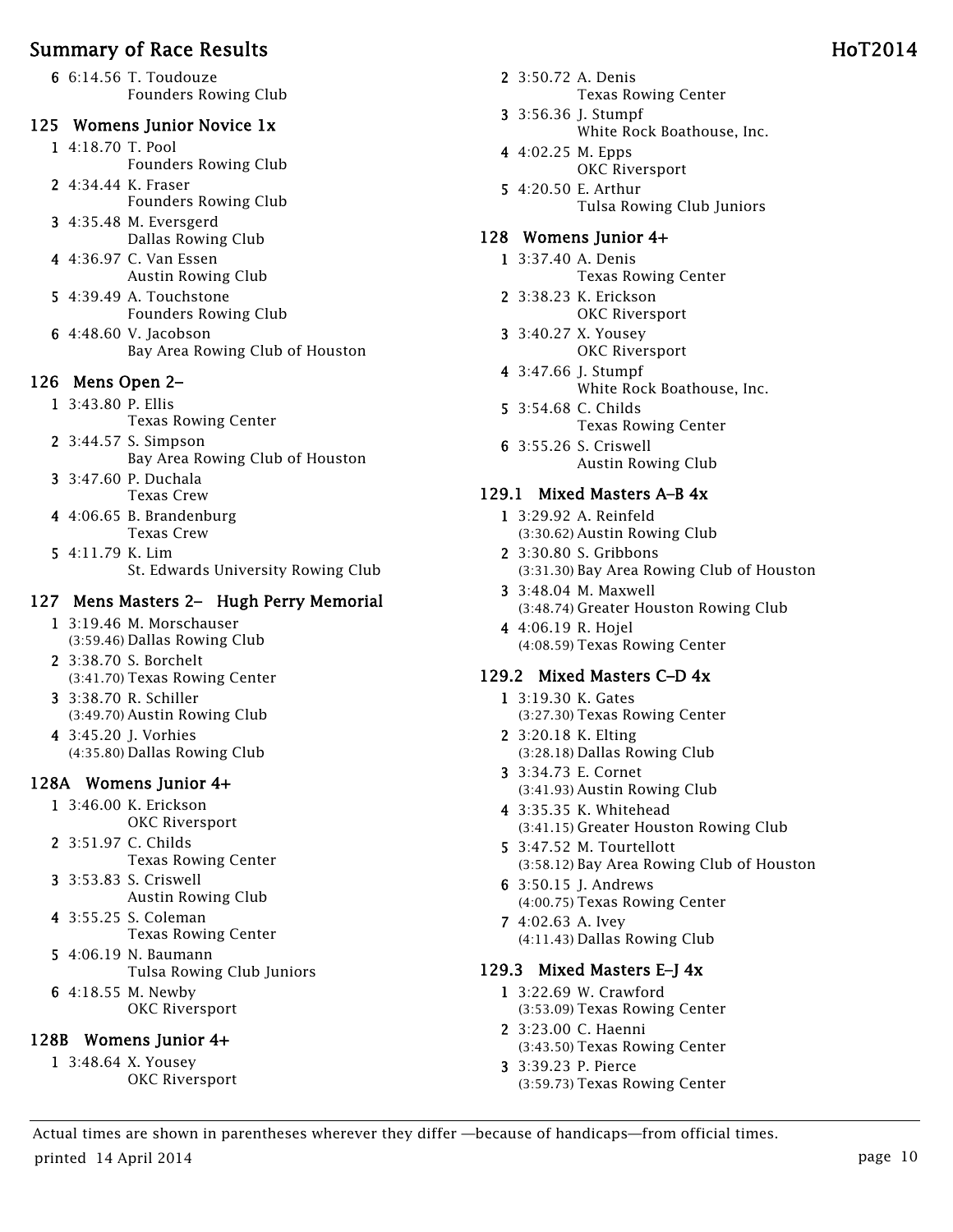6 6:14.56 T. Toudouze Founders Rowing Club

#### 125 Womens Junior Novice 1x

- 1 4:18.70 T. Pool Founders Rowing Club
- 2 4:34.44 K. Fraser Founders Rowing Club
- 3 4:35.48 M. Eversgerd Dallas Rowing Club
- 4 4:36.97 C. Van Essen Austin Rowing Club
- 5 4:39.49 A. Touchstone Founders Rowing Club
- 6 4:48.60 V. Jacobson Bay Area Rowing Club of Houston

## 126 Mens Open 2–

- 1 3:43.80 P. Ellis
	- Texas Rowing Center
- 2 3:44.57 S. Simpson Bay Area Rowing Club of Houston 3 3:47.60 P. Duchala
- Texas Crew
- 4 4:06.65 B. Brandenburg Texas Crew
- 5 4:11.79 K. Lim St. Edwards University Rowing Club

## 127 Mens Masters 2– Hugh Perry Memorial

- 1 3:19.46 M. Morschauser (3:59.46) Dallas Rowing Club
- 2 3:38.70 S. Borchelt (3:41.70) Texas Rowing Center
- 3 3:38.70 R. Schiller (3:49.70) Austin Rowing Club
- 4 3:45.20 J. Vorhies (4:35.80) Dallas Rowing Club

## 128A Womens Junior 4+

- 1 3:46.00 K. Erickson OKC Riversport
- 2 3:51.97 C. Childs Texas Rowing Center
- 3 3:53.83 S. Criswell Austin Rowing Club
- 4 3:55.25 S. Coleman Texas Rowing Center
- 5 4:06.19 N. Baumann Tulsa Rowing Club Juniors
- 6 4:18.55 M. Newby OKC Riversport

## 128B Womens Junior 4+

1 3:48.64 X. Yousey OKC Riversport

- 2 3:50.72 A. Denis Texas Rowing Center
- 3 3:56.36 J. Stumpf White Rock Boathouse, Inc.
- 4 4:02.25 M. Epps OKC Riversport
- 5 4:20.50 E. Arthur Tulsa Rowing Club Juniors

#### 128 Womens Junior 4+

- 1 3:37.40 A. Denis Texas Rowing Center
- 2 3:38.23 K. Erickson OKC Riversport
- 3 3:40.27 X. Yousey OKC Riversport
- 4 3:47.66 J. Stumpf White Rock Boathouse, Inc.
- 5 3:54.68 C. Childs Texas Rowing Center
- 6 3:55.26 S. Criswell Austin Rowing Club

#### 129.1 Mixed Masters A–B 4x

- 1 3:29.92 A. Reinfeld (3:30.62) Austin Rowing Club
- 2 3:30.80 S. Gribbons (3:31.30) Bay Area Rowing Club of Houston
- 3 3:48.04 M. Maxwell (3:48.74) Greater Houston Rowing Club
- 4 4:06.19 R. Hojel (4:08.59) Texas Rowing Center

# 129.2 Mixed Masters C–D 4x

- 1 3:19.30 K. Gates (3:27.30) Texas Rowing Center
- 2 3:20.18 K. Elting (3:28.18) Dallas Rowing Club
- 3 3:34.73 E. Cornet (3:41.93) Austin Rowing Club
- 4 3:35.35 K. Whitehead (3:41.15) Greater Houston Rowing Club
- 5 3:47.52 M. Tourtellott (3:58.12) Bay Area Rowing Club of Houston
- 6 3:50.15 J. Andrews (4:00.75) Texas Rowing Center
- 7 4:02.63 A. Ivey (4:11.43) Dallas Rowing Club

## 129.3 Mixed Masters E–J 4x

- 1 3:22.69 W. Crawford (3:53.09) Texas Rowing Center
- 2 3:23.00 C. Haenni (3:43.50) Texas Rowing Center
- 3 3:39.23 P. Pierce (3:59.73) Texas Rowing Center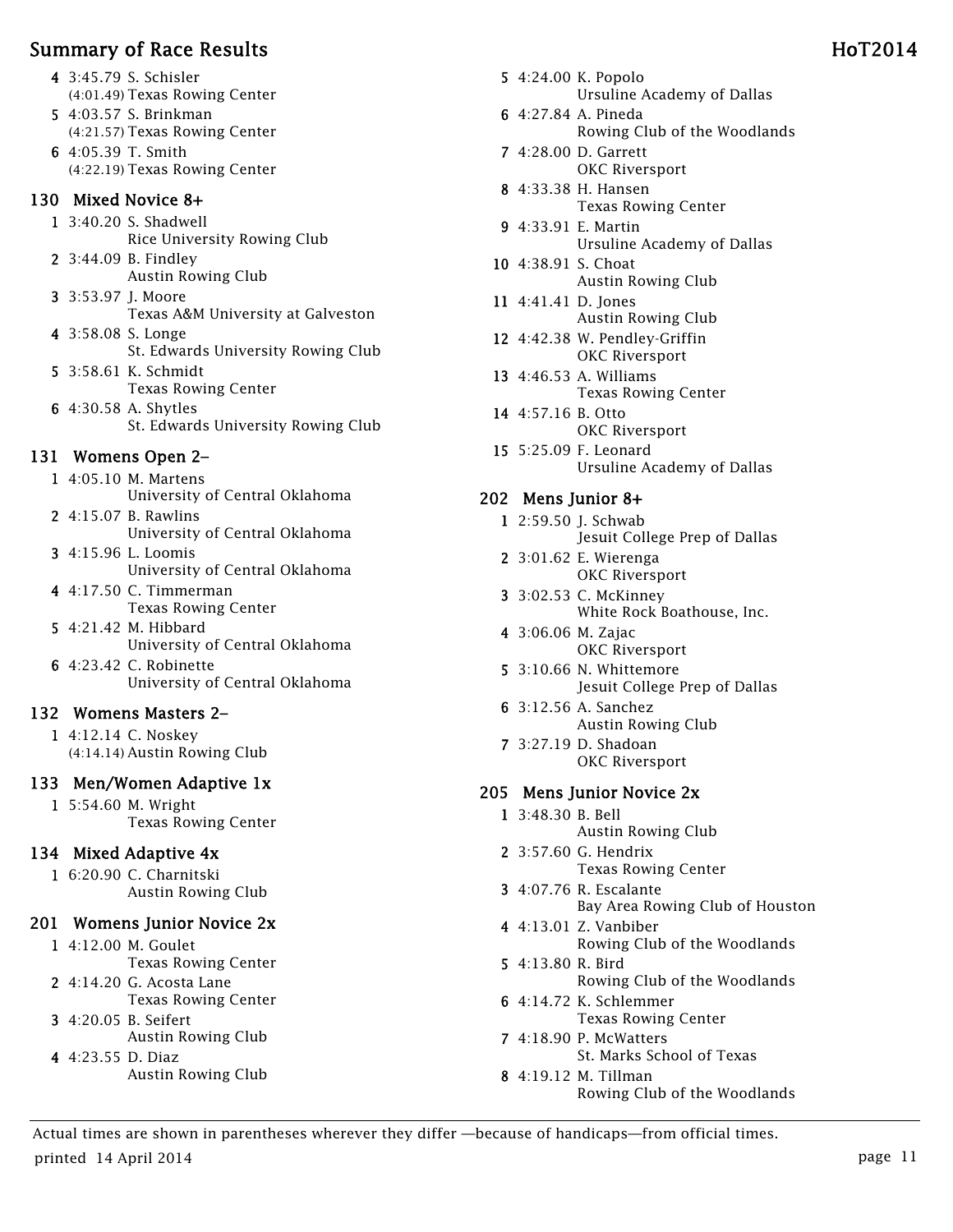- 4 3:45.79 S. Schisler (4:01.49) Texas Rowing Center
- 5 4:03.57 S. Brinkman (4:21.57) Texas Rowing Center
- 6 4:05.39 T. Smith (4:22.19) Texas Rowing Center

#### 130 Mixed Novice 8+

- 1 3:40.20 S. Shadwell Rice University Rowing Club
- 2 3:44.09 B. Findley Austin Rowing Club
- 3 3:53.97 J. Moore Texas A&M University at Galveston
- 4 3:58.08 S. Longe St. Edwards University Rowing Club 5 3:58.61 K. Schmidt
	- Texas Rowing Center
- 6 4:30.58 A. Shytles St. Edwards University Rowing Club

# 131 Womens Open 2–

- 1 4:05.10 M. Martens University of Central Oklahoma
- 2 4:15.07 B. Rawlins University of Central Oklahoma
- 3 4:15.96 L. Loomis University of Central Oklahoma
- 4 4:17.50 C. Timmerman Texas Rowing Center
- 5 4:21.42 M. Hibbard University of Central Oklahoma
- 6 4:23.42 C. Robinette University of Central Oklahoma

# 132 Womens Masters 2–

1 4:12.14 C. Noskey (4:14.14) Austin Rowing Club

# 133 Men/Women Adaptive 1x

1 5:54.60 M. Wright Texas Rowing Center

# 134 Mixed Adaptive 4x

1 6:20.90 C. Charnitski Austin Rowing Club

# 201 Womens Junior Novice 2x

- 1 4:12.00 M. Goulet Texas Rowing Center
- 2 4:14.20 G. Acosta Lane Texas Rowing Center
- 3 4:20.05 B. Seifert
- Austin Rowing Club
- 4 4:23.55 D. Diaz Austin Rowing Club
- 5 4:24.00 K. Popolo Ursuline Academy of Dallas
- 6 4:27.84 A. Pineda Rowing Club of the Woodlands
- 7 4:28.00 D. Garrett OKC Riversport
- 8 4:33.38 H. Hansen Texas Rowing Center
- 9 4:33.91 E. Martin Ursuline Academy of Dallas
- 10 4:38.91 S. Choat Austin Rowing Club
- 11 4:41.41 D. Jones Austin Rowing Club
- 12 4:42.38 W. Pendley-Griffin OKC Riversport
- 13 4:46.53 A. Williams Texas Rowing Center
- 14 4:57.16 B. Otto OKC Riversport
- 15 5:25.09 F. Leonard Ursuline Academy of Dallas

# 202 Mens Junior 8+

- 1 2:59.50 J. Schwab Jesuit College Prep of Dallas
- 2 3:01.62 E. Wierenga OKC Riversport
- 3 3:02.53 C. McKinney White Rock Boathouse, Inc.
- 4 3:06.06 M. Zajac OKC Riversport
- 5 3:10.66 N. Whittemore Jesuit College Prep of Dallas
- 6 3:12.56 A. Sanchez Austin Rowing Club
- 7 3:27.19 D. Shadoan OKC Riversport

# 205 Mens Junior Novice 2x

- 1 3:48.30 B. Bell
	- Austin Rowing Club
- 2 3:57.60 G. Hendrix Texas Rowing Center
- 3 4:07.76 R. Escalante Bay Area Rowing Club of Houston
- 4 4:13.01 Z. Vanbiber Rowing Club of the Woodlands
- 5 4:13.80 R. Bird Rowing Club of the Woodlands
- 6 4:14.72 K. Schlemmer Texas Rowing Center
- 7 4:18.90 P. McWatters St. Marks School of Texas
- 8 4:19.12 M. Tillman Rowing Club of the Woodlands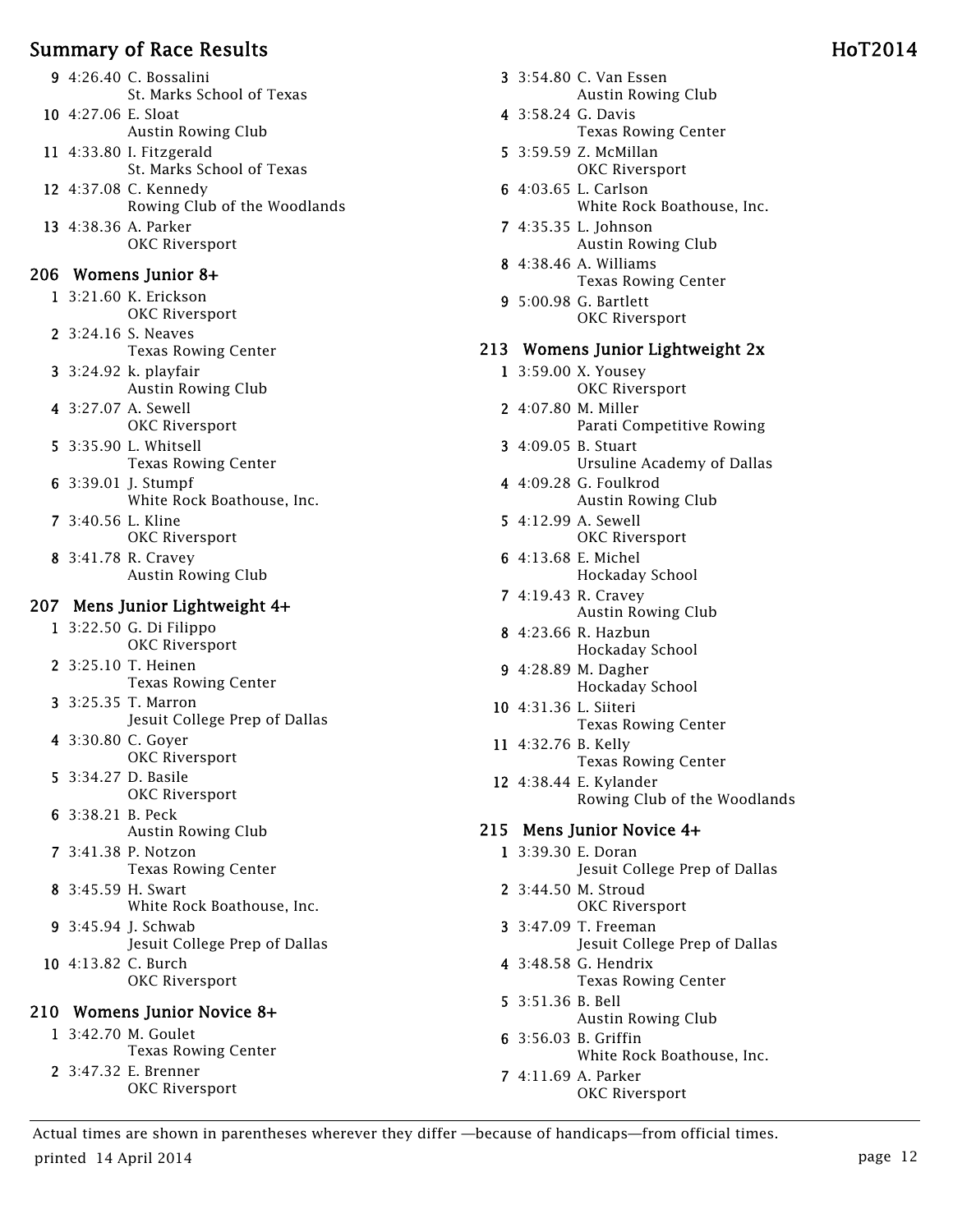| Summary of Race Results                               | HoT2014                                                               |
|-------------------------------------------------------|-----------------------------------------------------------------------|
| 9 4:26.40 C. Bossalini<br>St. Marks School of Texas   | 3 3:54.80 C. Van Essen<br>Austin Rowing Club                          |
| 10 4:27.06 E. Sloat<br>Austin Rowing Club             | 4 3:58.24 G. Davis<br><b>Texas Rowing Center</b>                      |
| 11 4:33.80 I. Fitzgerald<br>St. Marks School of Texas | 5 3:59.59 Z. McMillan<br>OKC Riversport                               |
| 12 4:37.08 C. Kennedy<br>Rowing Club of the Woodlands | 6 4:03.65 L. Carlson<br>White Rock Boathouse, Inc.                    |
| 13 4:38.36 A. Parker<br>OKC Riversport                | 7 4:35.35 L. Johnson<br>Austin Rowing Club                            |
| 206 Womens Junior 8+                                  | 8 4:38.46 A. Williams                                                 |
| 1 3:21.60 K. Erickson<br>OKC Riversport               | <b>Texas Rowing Center</b><br>9 5:00.98 G. Bartlett<br>OKC Riversport |
| 2 3:24.16 S. Neaves<br><b>Texas Rowing Center</b>     | 213 Womens Junior Lightweight 2x                                      |
| 3 3:24.92 k. playfair<br>Austin Rowing Club           | 1 3:59.00 X. Yousey<br>OKC Riversport                                 |
| 4 3:27.07 A. Sewell<br>OKC Riversport                 | 2 4:07.80 M. Miller<br>Parati Competitive Rowing                      |
| 5 3:35.90 L. Whitsell<br><b>Texas Rowing Center</b>   | 3 4:09.05 B. Stuart<br>Ursuline Academy of Dallas                     |
| 6 3:39.01 J. Stumpf<br>White Rock Boathouse, Inc.     | 4 4:09.28 G. Foulkrod<br>Austin Rowing Club                           |
| 7 3:40.56 L. Kline<br>OKC Riversport                  | 5 4:12.99 A. Sewell<br>OKC Riversport                                 |
| 8 3:41.78 R. Cravey<br>Austin Rowing Club             | 6 4:13.68 E. Michel<br>Hockaday School                                |
| 207 Mens Junior Lightweight 4+                        | 7 4:19.43 R. Cravey<br>Austin Rowing Club                             |
| 1 3:22.50 G. Di Filippo<br>OKC Riversport             | 8 4:23.66 R. Hazbun<br>Hockaday School                                |
| 2 3:25.10 T. Heinen<br><b>Texas Rowing Center</b>     | 9 4:28.89 M. Dagher<br>Hockaday School                                |
| 3 3:25.35 T. Marron<br>Jesuit College Prep of Dallas  | 10 4:31.36 L. Siiteri<br><b>Texas Rowing Center</b>                   |
| 4 3:30.80 C. Goyer<br>OKC Riversport                  | 11 4:32.76 B. Kelly<br><b>Texas Rowing Center</b>                     |
| 5 3:34.27 D. Basile<br>OKC Riversport                 | 12 4:38.44 E. Kylander<br>Rowing Club of the Woodlands                |
| 6 3:38.21 B. Peck<br><b>Austin Rowing Club</b>        | 215 Mens Junior Novice 4+                                             |
| 7 3:41.38 P. Notzon<br><b>Texas Rowing Center</b>     | 1 3:39.30 E. Doran<br>Jesuit College Prep of Dallas                   |
| 8 3:45.59 H. Swart<br>White Rock Boathouse, Inc.      | 2 3:44.50 M. Stroud<br>OKC Riversport                                 |
| $0.4 \times 0.1$                                      | 1700T                                                                 |

- 9 3:45.94 J. Schwab Jesuit College Prep of Dallas
- 10 4:13.82 C. Burch OKC Riversport

#### 210 Womens Junior Novice 8+

1 3:42.70 M. Goulet Texas Rowing Center 2 3:47.32 E. Brenner OKC Riversport

- 3 3:54.80 C. Van Essen Austin Rowing Club
- 4 3:58.24 G. Davis Texas Rowing Center
- 5 3:59.59 Z. McMillan OKC Riversport
- 6 4:03.65 L. Carlson White Rock Boathouse, Inc.
- 7 4:35.35 L. Johnson Austin Rowing Club
- 8 4:38.46 A. Williams Texas Rowing Center
- 9 5:00.98 G. Bartlett OKC Riversport

#### 213 Womens Junior Lightweight 2x

- 1 3:59.00 X. Yousey OKC Riversport
- 2 4:07.80 M. Miller Parati Competitive Rowing
- 3 4:09.05 B. Stuart Ursuline Academy of Dallas
- 4 4:09.28 G. Foulkrod Austin Rowing Club
- 5 4:12.99 A. Sewell OKC Riversport
- 6 4:13.68 E. Michel Hockaday School
- 7 4:19.43 R. Cravey Austin Rowing Club
- 8 4:23.66 R. Hazbun Hockaday School
- 9 4:28.89 M. Dagher Hockaday School
- 10 4:31.36 L. Siiteri Texas Rowing Center
- 11 4:32.76 B. Kelly Texas Rowing Center
- 12 4:38.44 E. Kylander Rowing Club of the Woodlands

## 215 Mens Junior Novice 4+

- 1 3:39.30 E. Doran Jesuit College Prep of Dallas
- 2 3:44.50 M. Stroud OKC Riversport
- 3 3:47.09 T. Freeman Jesuit College Prep of Dallas
- 4 3:48.58 G. Hendrix Texas Rowing Center
- 5 3:51.36 B. Bell Austin Rowing Club 6 3:56.03 B. Griffin
	- White Rock Boathouse, Inc.
- 7 4:11.69 A. Parker OKC Riversport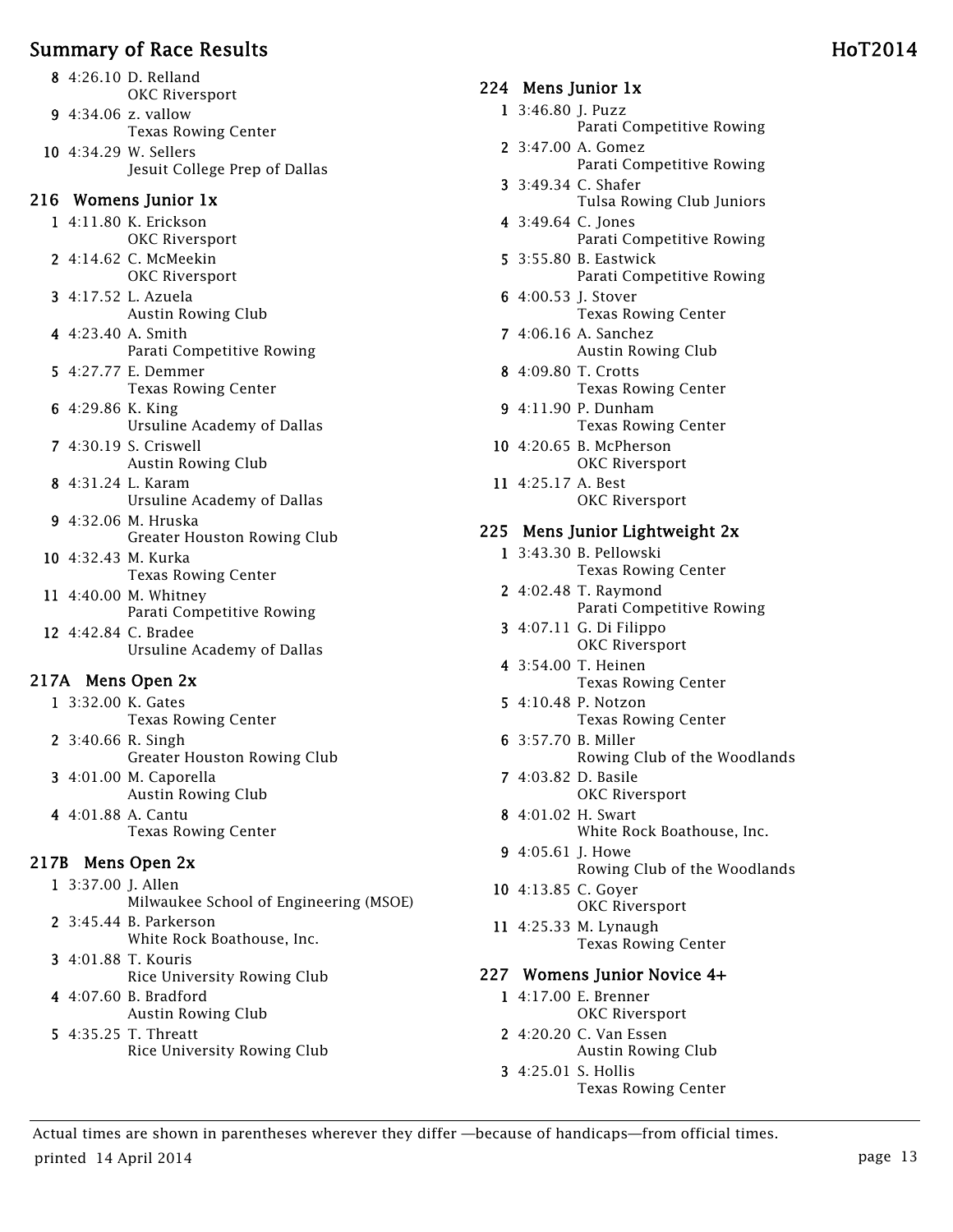- 8 4:26.10 D. Relland OKC Riversport
- 9 4:34.06 z. vallow Texas Rowing Center
- 10 4:34.29 W. Sellers Jesuit College Prep of Dallas

#### 216 Womens Junior 1x

- 1 4:11.80 K. Erickson OKC Riversport
- 2 4:14.62 C. McMeekin OKC Riversport
- 3 4:17.52 L. Azuela Austin Rowing Club
- 4 4:23.40 A. Smith Parati Competitive Rowing
- 5 4:27.77 E. Demmer Texas Rowing Center
- 6 4:29.86 K. King Ursuline Academy of Dallas
- 7 4:30.19 S. Criswell Austin Rowing Club
- 8 4:31.24 L. Karam Ursuline Academy of Dallas
- 9 4:32.06 M. Hruska Greater Houston Rowing Club
- 10 4:32.43 M. Kurka Texas Rowing Center
- 11 4:40.00 M. Whitney Parati Competitive Rowing
- 12 4:42.84 C. Bradee Ursuline Academy of Dallas

## 217A Mens Open 2x

- 1 3:32.00 K. Gates Texas Rowing Center 2 3:40.66 R. Singh Greater Houston Rowing Club 3 4:01.00 M. Caporella Austin Rowing Club
- 4 4:01.88 A. Cantu Texas Rowing Center

# 217B Mens Open 2x

1 3:37.00 J. Allen Milwaukee School of Engineering (MSOE) 2 3:45.44 B. Parkerson White Rock Boathouse, Inc. 3 4:01.88 T. Kouris Rice University Rowing Club 4 4:07.60 B. Bradford Austin Rowing Club

5 4:35.25 T. Threatt Rice University Rowing Club

#### 224 Mens Junior 1x

- 1 3:46.80 J. Puzz
	- Parati Competitive Rowing
- 2 3:47.00 A. Gomez Parati Competitive Rowing
- 3 3:49.34 C. Shafer Tulsa Rowing Club Juniors
- 4 3:49.64 C. Jones Parati Competitive Rowing
- 5 3:55.80 B. Eastwick Parati Competitive Rowing
- 6 4:00.53 J. Stover Texas Rowing Center
- 7 4:06.16 A. Sanchez Austin Rowing Club
- 8 4:09.80 T. Crotts Texas Rowing Center
- 9 4:11.90 P. Dunham Texas Rowing Center
- 10 4:20.65 B. McPherson OKC Riversport
- 11 4:25.17 A. Best OKC Riversport

#### 225 Mens Junior Lightweight 2x

- 1 3:43.30 B. Pellowski Texas Rowing Center
- 2 4:02.48 T. Raymond Parati Competitive Rowing
- 3 4:07.11 G. Di Filippo OKC Riversport
- 4 3:54.00 T. Heinen Texas Rowing Center
- 5 4:10.48 P. Notzon Texas Rowing Center
- 6 3:57.70 B. Miller Rowing Club of the Woodlands
- 7 4:03.82 D. Basile OKC Riversport
- 8 4:01.02 H. Swart White Rock Boathouse, Inc.
- 9 4:05.61 J. Howe Rowing Club of the Woodlands
- 10 4:13.85 C. Goyer OKC Riversport
- 11 4:25.33 M. Lynaugh Texas Rowing Center

## 227 Womens Junior Novice 4+

- 1 4:17.00 E. Brenner OKC Riversport
- 2 4:20.20 C. Van Essen
	- Austin Rowing Club
- 3 4:25.01 S. Hollis Texas Rowing Center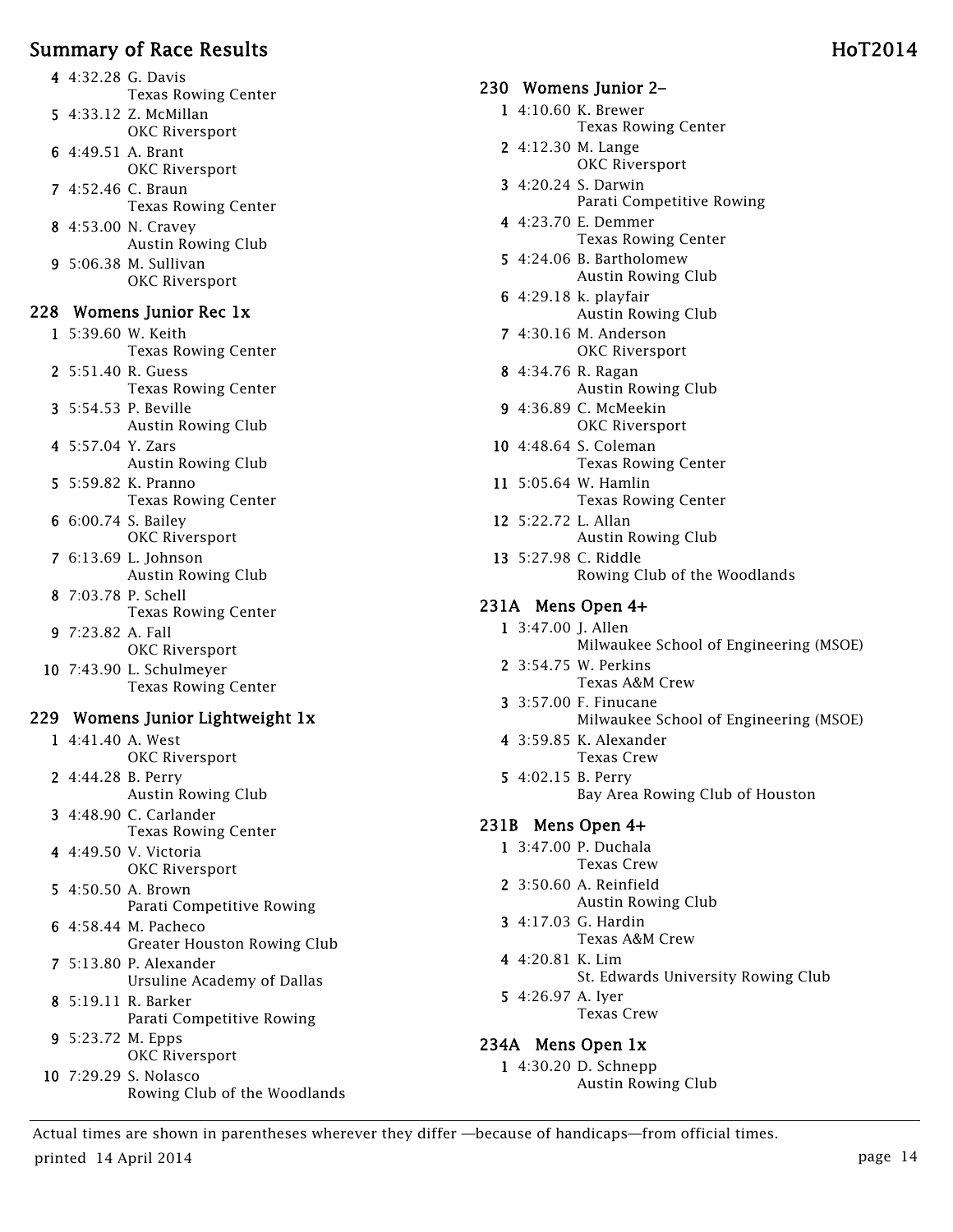- 5 4:33.12 Z. McMillan OKC Riversport
- 6 4:49.51 A. Brant OKC Riversport
- 7 4:52.46 C. Braun Texas Rowing Center
- 8 4:53.00 N. Cravey Austin Rowing Club
- 9 5:06.38 M. Sullivan OKC Riversport

#### 228 Womens Junior Rec 1x

- 1 5:39.60 W. Keith Texas Rowing Center
- 2 5:51.40 R. Guess Texas Rowing Center
- 3 5:54.53 P. Beville Austin Rowing Club
- 4 5:57.04 Y. Zars Austin Rowing Club
- 5 5:59.82 K. Pranno Texas Rowing Center
- 6 6:00.74 S. Bailey OKC Riversport
- 7 6:13.69 L. Johnson Austin Rowing Club
- 8 7:03.78 P. Schell Texas Rowing Center 9 7:23.82 A. Fall
- OKC Riversport
- 10 7:43.90 L. Schulmeyer Texas Rowing Center

## 229 Womens Junior Lightweight 1x

- 1 4:41.40 A. West OKC Riversport
- 2 4:44.28 B. Perry Austin Rowing Club
- 3 4:48.90 C. Carlander Texas Rowing Center
- 4 4:49.50 V. Victoria OKC Riversport
- 5 4:50.50 A. Brown Parati Competitive Rowing
- 6 4:58.44 M. Pacheco Greater Houston Rowing Club
- 7 5:13.80 P. Alexander Ursuline Academy of Dallas
- 8 5:19.11 R. Barker Parati Competitive Rowing
- 9 5:23.72 M. Epps OKC Riversport
- 10 7:29.29 S. Nolasco Rowing Club of the Woodlands

#### 230 Womens Junior 2–

- 1 4:10.60 K. Brewer
	- Texas Rowing Center
- 2 4:12.30 M. Lange OKC Riversport
- 3 4:20.24 S. Darwin Parati Competitive Rowing
- 4 4:23.70 E. Demmer Texas Rowing Center
- 5 4:24.06 B. Bartholomew Austin Rowing Club
- 6 4:29.18 k. playfair Austin Rowing Club
- 7 4:30.16 M. Anderson OKC Riversport
- 8 4:34.76 R. Ragan Austin Rowing Club
- 9 4:36.89 C. McMeekin OKC Riversport
- 10 4:48.64 S. Coleman Texas Rowing Center
- 11 5:05.64 W. Hamlin Texas Rowing Center
- 12 5:22.72 L. Allan Austin Rowing Club
- 13 5:27.98 C. Riddle Rowing Club of the Woodlands

## 231A Mens Open 4+

- 1 3:47.00 J. Allen Milwaukee School of Engineering (MSOE)
- 2 3:54.75 W. Perkins Texas A&M Crew
- 3 3:57.00 F. Finucane Milwaukee School of Engineering (MSOE)
- 4 3:59.85 K. Alexander Texas Crew
- 5 4:02.15 B. Perry Bay Area Rowing Club of Houston

## 231B Mens Open 4+

- 1 3:47.00 P. Duchala Texas Crew
- 2 3:50.60 A. Reinfield Austin Rowing Club
- 3 4:17.03 G. Hardin Texas A&M Crew
- 4 4:20.81 K. Lim
	- St. Edwards University Rowing Club
- 5 4:26.97 A. Iyer Texas Crew

## 234A Mens Open 1x

1 4:30.20 D. Schnepp Austin Rowing Club